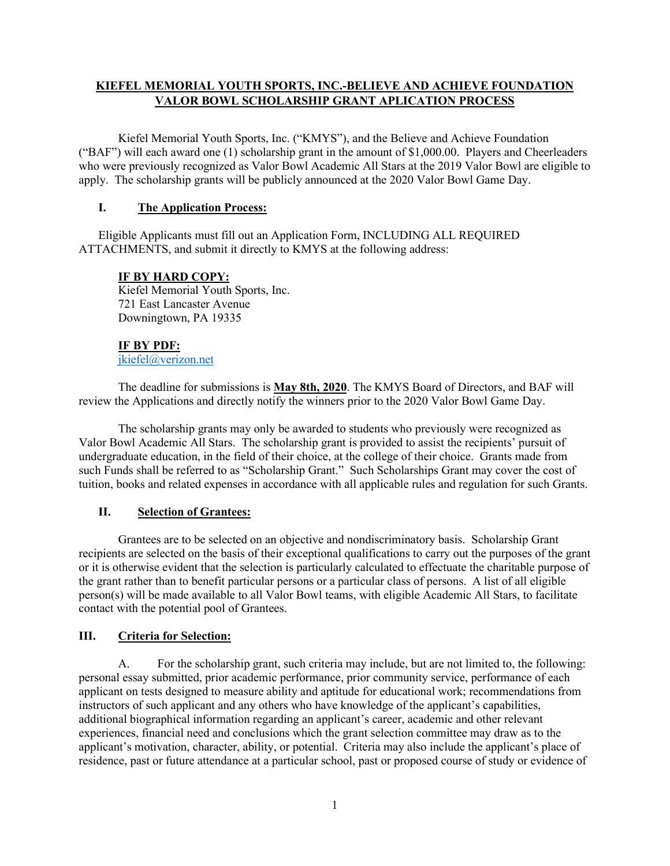# **KIEFEL MEMORIAL YOUTH SPORTS, INC.-BELIEVE AND ACHIEVE FOUNDATION VALOR BOWL SCHOLARSHIP GRANT APLICATION PROCESS**

Kiefel Memorial Youth Sports, Inc. ("KMYS"), and the Believe and Achieve Foundation ("BAF") will each award one (1) scholarship grant in the amount of \$1,000.00. Players and Cheerleaders who were previously recognized as Valor Bowl Academic All Stars at the 2019 Valor Bowl are eligible to apply. The scholarship grants will be publicly announced at the 2020 Valor Bowl Game Day.

### **I. The Application Process:**

Eligible Applicants must fill out an Application Form, INCLUDING ALL REQUIRED ATTACHMENTS, and submit it directly to KMYS at the following address:

# **IF BY HARD COPY:**

Kiefel Memorial Youth Sports, Inc. 721 East Lancaster Avenue Downingtown, PA 19335

### **IF BY PDF:**

[jkiefel@verizon.net](mailto:jkiefel@verizon.net)

The deadline for submissions is **May 8th, 2020**. The KMYS Board of Directors, and BAF will review the Applications and directly notify the winners prior to the 2020 Valor Bowl Game Day.

The scholarship grants may only be awarded to students who previously were recognized as Valor Bowl Academic All Stars. The scholarship grant is provided to assist the recipients' pursuit of undergraduate education, in the field of their choice, at the college of their choice. Grants made from such Funds shall be referred to as "Scholarship Grant." Such Scholarships Grant may cover the cost of tuition, books and related expenses in accordance with all applicable rules and regulation for such Grants.

# **II. Selection of Grantees:**

Grantees are to be selected on an objective and nondiscriminatory basis. Scholarship Grant recipients are selected on the basis of their exceptional qualifications to carry out the purposes of the grant or it is otherwise evident that the selection is particularly calculated to effectuate the charitable purpose of the grant rather than to benefit particular persons or a particular class of persons. A list of all eligible person(s) will be made available to all Valor Bowl teams, with eligible Academic All Stars, to facilitate contact with the potential pool of Grantees.

### **III. Criteria for Selection:**

A. For the scholarship grant, such criteria may include, but are not limited to, the following: personal essay submitted, prior academic performance, prior community service, performance of each applicant on tests designed to measure ability and aptitude for educational work; recommendations from instructors of such applicant and any others who have knowledge of the applicant's capabilities, additional biographical information regarding an applicant's career, academic and other relevant experiences, financial need and conclusions which the grant selection committee may draw as to the applicant's motivation, character, ability, or potential. Criteria may also include the applicant's place of residence, past or future attendance at a particular school, past or proposed course of study or evidence of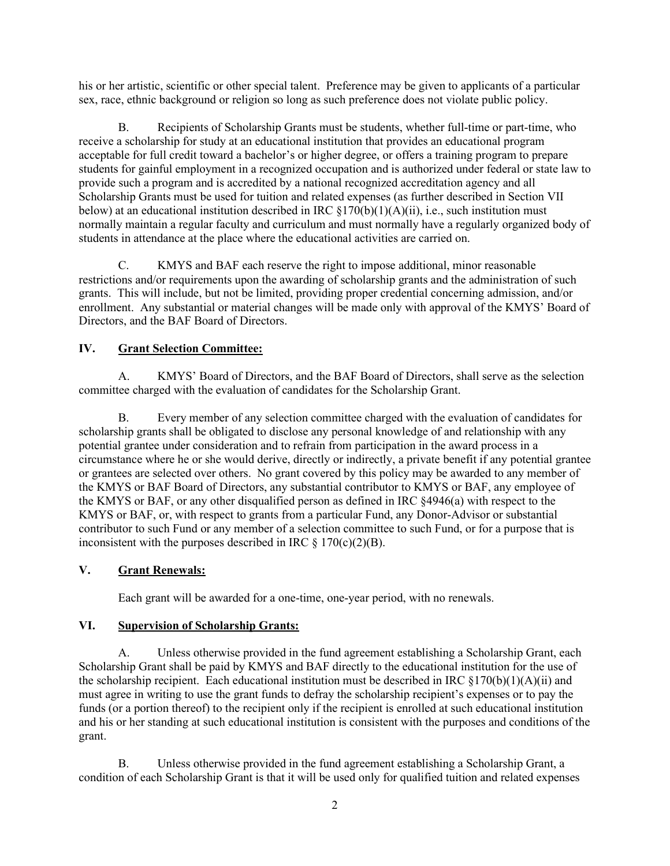his or her artistic, scientific or other special talent. Preference may be given to applicants of a particular sex, race, ethnic background or religion so long as such preference does not violate public policy.

B. Recipients of Scholarship Grants must be students, whether full-time or part-time, who receive a scholarship for study at an educational institution that provides an educational program acceptable for full credit toward a bachelor's or higher degree, or offers a training program to prepare students for gainful employment in a recognized occupation and is authorized under federal or state law to provide such a program and is accredited by a national recognized accreditation agency and all Scholarship Grants must be used for tuition and related expenses (as further described in Section VII below) at an educational institution described in IRC §170(b)(1)(A)(ii), i.e., such institution must normally maintain a regular faculty and curriculum and must normally have a regularly organized body of students in attendance at the place where the educational activities are carried on.

C. KMYS and BAF each reserve the right to impose additional, minor reasonable restrictions and/or requirements upon the awarding of scholarship grants and the administration of such grants. This will include, but not be limited, providing proper credential concerning admission, and/or enrollment. Any substantial or material changes will be made only with approval of the KMYS' Board of Directors, and the BAF Board of Directors.

# **IV. Grant Selection Committee:**

A. KMYS' Board of Directors, and the BAF Board of Directors, shall serve as the selection committee charged with the evaluation of candidates for the Scholarship Grant.

B. Every member of any selection committee charged with the evaluation of candidates for scholarship grants shall be obligated to disclose any personal knowledge of and relationship with any potential grantee under consideration and to refrain from participation in the award process in a circumstance where he or she would derive, directly or indirectly, a private benefit if any potential grantee or grantees are selected over others. No grant covered by this policy may be awarded to any member of the KMYS or BAF Board of Directors, any substantial contributor to KMYS or BAF, any employee of the KMYS or BAF, or any other disqualified person as defined in IRC §4946(a) with respect to the KMYS or BAF, or, with respect to grants from a particular Fund, any Donor-Advisor or substantial contributor to such Fund or any member of a selection committee to such Fund, or for a purpose that is inconsistent with the purposes described in IRC  $\S$  170(c)(2)(B).

# **V. Grant Renewals:**

Each grant will be awarded for a one-time, one-year period, with no renewals.

# **VI. Supervision of Scholarship Grants:**

A. Unless otherwise provided in the fund agreement establishing a Scholarship Grant, each Scholarship Grant shall be paid by KMYS and BAF directly to the educational institution for the use of the scholarship recipient. Each educational institution must be described in IRC  $\S170(b)(1)(A)(ii)$  and must agree in writing to use the grant funds to defray the scholarship recipient's expenses or to pay the funds (or a portion thereof) to the recipient only if the recipient is enrolled at such educational institution and his or her standing at such educational institution is consistent with the purposes and conditions of the grant.

B. Unless otherwise provided in the fund agreement establishing a Scholarship Grant, a condition of each Scholarship Grant is that it will be used only for qualified tuition and related expenses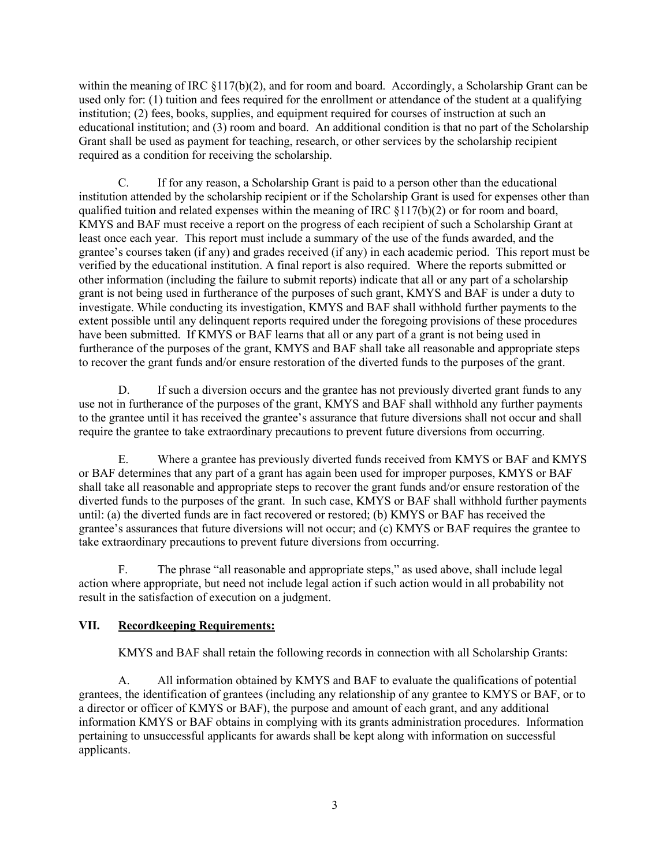within the meaning of IRC  $\S117(b)(2)$ , and for room and board. Accordingly, a Scholarship Grant can be used only for: (1) tuition and fees required for the enrollment or attendance of the student at a qualifying institution; (2) fees, books, supplies, and equipment required for courses of instruction at such an educational institution; and  $(3)$  room and board. An additional condition is that no part of the Scholarship Grant shall be used as payment for teaching, research, or other services by the scholarship recipient required as a condition for receiving the scholarship.

C. If for any reason, a Scholarship Grant is paid to a person other than the educational institution attended by the scholarship recipient or if the Scholarship Grant is used for expenses other than qualified tuition and related expenses within the meaning of IRC §117(b)(2) or for room and board, KMYS and BAF must receive a report on the progress of each recipient of such a Scholarship Grant at least once each year. This report must include a summary of the use of the funds awarded, and the grantee's courses taken (if any) and grades received (if any) in each academic period. This report must be verified by the educational institution. A final report is also required. Where the reports submitted or other information (including the failure to submit reports) indicate that all or any part of a scholarship grant is not being used in furtherance of the purposes of such grant, KMYS and BAF is under a duty to investigate. While conducting its investigation, KMYS and BAF shall withhold further payments to the extent possible until any delinquent reports required under the foregoing provisions of these procedures have been submitted. If KMYS or BAF learns that all or any part of a grant is not being used in furtherance of the purposes of the grant, KMYS and BAF shall take all reasonable and appropriate steps to recover the grant funds and/or ensure restoration of the diverted funds to the purposes of the grant.

D. If such a diversion occurs and the grantee has not previously diverted grant funds to any use not in furtherance of the purposes of the grant, KMYS and BAF shall withhold any further payments to the grantee until it has received the grantee's assurance that future diversions shall not occur and shall require the grantee to take extraordinary precautions to prevent future diversions from occurring.

E. Where a grantee has previously diverted funds received from KMYS or BAF and KMYS or BAF determines that any part of a grant has again been used for improper purposes, KMYS or BAF shall take all reasonable and appropriate steps to recover the grant funds and/or ensure restoration of the diverted funds to the purposes of the grant. In such case, KMYS or BAF shall withhold further payments until: (a) the diverted funds are in fact recovered or restored; (b) KMYS or BAF has received the grantee's assurances that future diversions will not occur; and (c) KMYS or BAF requires the grantee to take extraordinary precautions to prevent future diversions from occurring.

F. The phrase "all reasonable and appropriate steps," as used above, shall include legal action where appropriate, but need not include legal action if such action would in all probability not result in the satisfaction of execution on a judgment.

# **VII. Recordkeeping Requirements:**

KMYS and BAF shall retain the following records in connection with all Scholarship Grants:

A. All information obtained by KMYS and BAF to evaluate the qualifications of potential grantees, the identification of grantees (including any relationship of any grantee to KMYS or BAF, or to a director or officer of KMYS or BAF), the purpose and amount of each grant, and any additional information KMYS or BAF obtains in complying with its grants administration procedures. Information pertaining to unsuccessful applicants for awards shall be kept along with information on successful applicants.